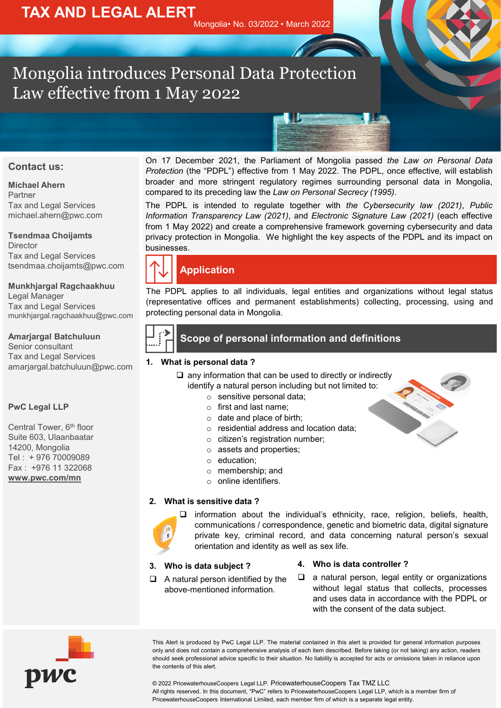# Mongolia introduces Personal Data Protection Law effective from 1 May 2022

#### **Contact us:**

**Michael Ahern** Partner Tax and Legal Services michael.ahern@pwc.com

**Tsendmaa Choijamts** Director Tax and Legal Services tsendmaa.choijamts@pwc.com

**Munkhjargal Ragchaakhuu** Legal Manager Tax and Legal Services munkhjargal.ragchaakhuu@pwc.com

#### **Amarjargal Batchuluun** Senior consultant Tax and Legal Services amarjargal.batchuluun@pwc.com

#### **PwC Legal LLP**

Central Tower, 6<sup>th</sup> floor Suite 603, Ulaanbaatar 14200, Mongolia Tel : + 976 70009089 Fax : +976 11 322068 **[www.pwc.com/mn](http://www.pwc.com/mn)**

On 17 December 2021, the Parliament of Mongolia passed *the Law on Personal Data Protection* (the "PDPL") effective from 1 May 2022. The PDPL, once effective, will establish broader and more stringent regulatory regimes surrounding personal data in Mongolia, compared to its preceding law the *Law on Personal Secrecy (1995)*.

**KIL** 

The PDPL is intended to regulate together with *the Cybersecurity law (2021)*, *Public Information Transparency Law (2021)*, and *Electronic Signature Law (2021)* (each effective from 1 May 2022) and create a comprehensive framework governing cybersecurity and data privacy protection in Mongolia. We highlight the key aspects of the PDPL and its impact on businesses.

The PDPL applies to all individuals, legal entities and organizations without legal status (representative offices and permanent establishments) collecting, processing, using and protecting personal data in Mongolia.

#### **1. What is personal data ?**

- $\Box$  any information that can be used to directly or indirectly identify a natural person including but not limited to:
	- o sensitive personal data;
	- o first and last name;
	- o date and place of birth;
	- o residential address and location data;
	- o citizen's registration number;
	- o assets and properties;
	- o education;
	- o membership; and
	- o online identifiers.

#### **2. What is sensitive data ?**



 information about the individual's ethnicity, race, religion, beliefs, health, communications / correspondence, genetic and biometric data, digital signature private key, criminal record, and data concerning natural person's sexual orientation and identity as well as sex life.

#### **3. Who is data subject ?**

- **4. Who is data controller ?**
- $\Box$  A natural person identified by the above-mentioned information.
- $\Box$  a natural person, legal entity or organizations without legal status that collects, processes and uses data in accordance with the PDPL or with the consent of the data subject.



This Alert is produced by PwC Legal LLP. The material contained in this alert is provided for general information purposes only and does not contain a comprehensive analysis of each item described. Before taking (or not taking) any action, readers should seek professional advice specific to their situation. No liability is accepted for acts or omissions taken in reliance upon the contents of this alert.

© 2022 PricewaterhouseCoopers Legal LLP. PricewaterhouseCoopers Tax TMZ LLC All rights reserved. In this document, "PwC" refers to PricewaterhouseCoopers Legal LLP, which is a member firm of PricewaterhouseCoopers International Limited, each member firm of which is a separate legal entity.

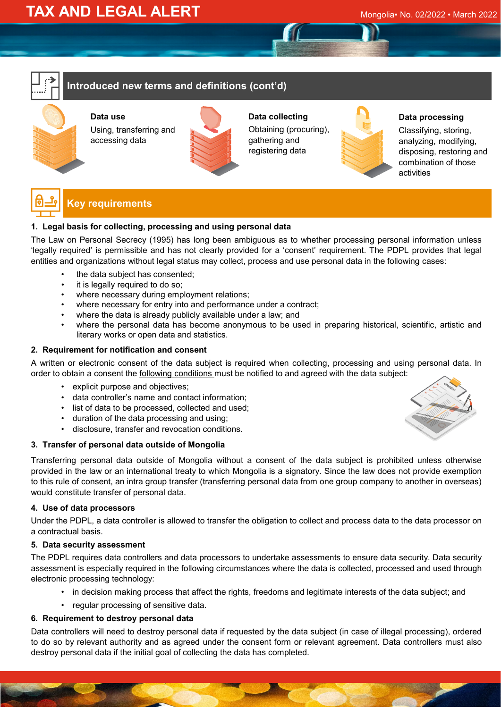### **Introduced new terms and definitions (cont'd)**

**Data use** Using, transferring and accessing data



**Data collecting** Obtaining (procuring), gathering and registering data



**Data processing**

Classifying, storing, analyzing, modifying, disposing, restoring and combination of those activities



## **Key requirements**

#### **1. Legal basis for collecting, processing and using personal data**

The Law on Personal Secrecy (1995) has long been ambiguous as to whether processing personal information unless 'legally required' is permissible and has not clearly provided for a 'consent' requirement. The PDPL provides that legal entities and organizations without legal status may collect, process and use personal data in the following cases:

- the data subject has consented;
- it is legally required to do so;
- where necessary during employment relations;
- where necessary for entry into and performance under a contract;
- where the data is already publicly available under a law; and
- where the personal data has become anonymous to be used in preparing historical, scientific, artistic and literary works or open data and statistics.

#### **2. Requirement for notification and consent**

A written or electronic consent of the data subject is required when collecting, processing and using personal data. In order to obtain a consent the following conditions must be notified to and agreed with the data subject:

- explicit purpose and objectives;
- data controller's name and contact information;
- list of data to be processed, collected and used;
- duration of the data processing and using;
- disclosure, transfer and revocation conditions.

#### **3. Transfer of personal data outside of Mongolia**

Transferring personal data outside of Mongolia without a consent of the data subject is prohibited unless otherwise provided in the law or an international treaty to which Mongolia is a signatory. Since the law does not provide exemption to this rule of consent, an intra group transfer (transferring personal data from one group company to another in overseas) would constitute transfer of personal data.

#### **4. Use of data processors**

Under the PDPL, a data controller is allowed to transfer the obligation to collect and process data to the data processor on a contractual basis.

#### **5. Data security assessment**

The PDPL requires data controllers and data processors to undertake assessments to ensure data security. Data security assessment is especially required in the following circumstances where the data is collected, processed and used through electronic processing technology:

- in decision making process that affect the rights, freedoms and legitimate interests of the data subject; and
- regular processing of sensitive data.

#### **6. Requirement to destroy personal data**

Data controllers will need to destroy personal data if requested by the data subject (in case of illegal processing), ordered to do so by relevant authority and as agreed under the consent form or relevant agreement. Data controllers must also destroy personal data if the initial goal of collecting the data has completed.

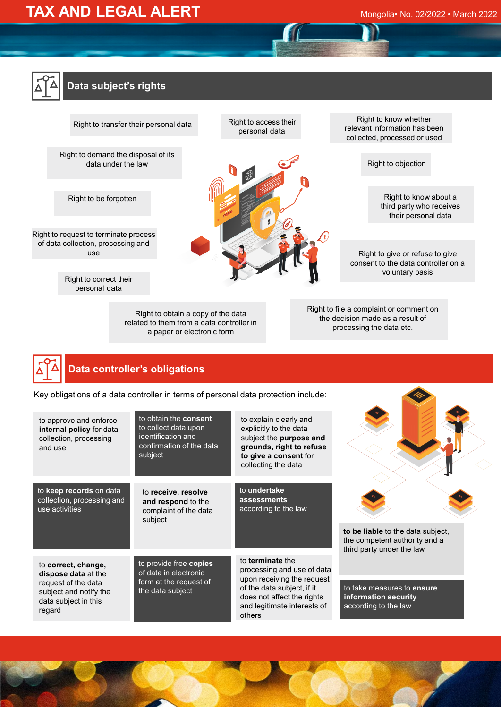# **TAX AND LEGAL ALERT** Mongolia• No. 02/2022 • March 2022



### **Data subject's rights**



# **Data controller's obligations**

Key obligations of a data controller in terms of personal data protection include:

| to approve and enforce<br>internal policy for data<br>collection, processing<br>and use                                       | to obtain the consent<br>to collect data upon<br>identification and<br>confirmation of the data<br>subject | to explain clearly and<br>explicitly to the data<br>subject the purpose and<br>grounds, right to refuse<br>to give a consent for<br>collecting the data                           |                                                                                                         |
|-------------------------------------------------------------------------------------------------------------------------------|------------------------------------------------------------------------------------------------------------|-----------------------------------------------------------------------------------------------------------------------------------------------------------------------------------|---------------------------------------------------------------------------------------------------------|
| to keep records on data<br>collection, processing and<br>use activities                                                       | to receive, resolve<br>and respond to the<br>complaint of the data<br>subject                              | to undertake<br>assessments<br>according to the law                                                                                                                               | to be liable to the data subject,<br>the competent authority and a                                      |
| to correct, change,<br>dispose data at the<br>request of the data<br>subject and notify the<br>data subject in this<br>regard | to provide free copies<br>of data in electronic<br>form at the request of<br>the data subject              | to terminate the<br>processing and use of data<br>upon receiving the request<br>of the data subject, if it<br>does not affect the rights<br>and legitimate interests of<br>others | third party under the law<br>to take measures to ensure<br>information security<br>according to the law |